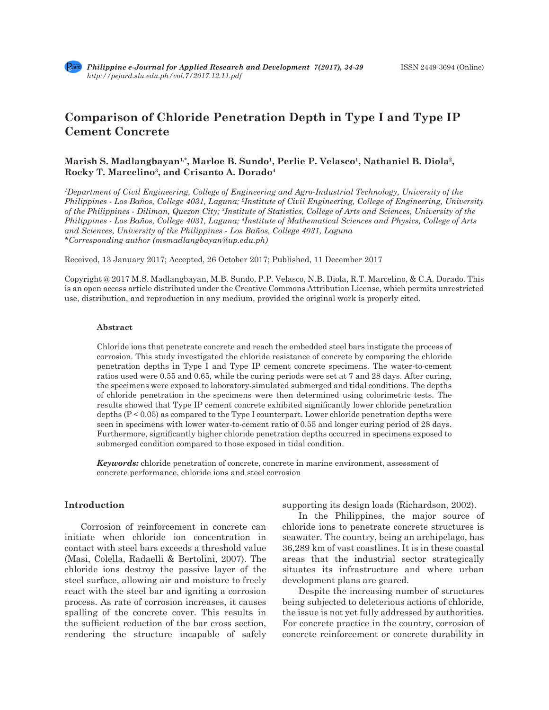# **Comparison of Chloride Penetration Depth in Type I and Type IP Cement Concrete**

## Marish S. Madlangbayan<sup>1,\*</sup>, Marloe B. Sundo<sup>1</sup>, Perlie P. Velasco<sup>1</sup>, Nathaniel B. Diola<sup>2</sup>, **Rocky T. Marcelino3, and Crisanto A. Dorado4**

*1 Department of Civil Engineering, College of Engineering and Agro-Industrial Technology, University of the Philippines - Los Baños, College 4031, Laguna; 2 Institute of Civil Engineering, College of Engineering, University of the Philippines - Diliman, Quezon City; 3 Institute of Statistics, College of Arts and Sciences, University of the Philippines - Los Baños, College 4031, Laguna; 4 Institute of Mathematical Sciences and Physics, College of Arts and Sciences, University of the Philippines - Los Baños, College 4031, Laguna \*Corresponding author (msmadlangbayan@up.edu.ph)*

Received, 13 January 2017; Accepted, 26 October 2017; Published, 11 December 2017

Copyright @ 2017 M.S. Madlangbayan, M.B. Sundo, P.P. Velasco, N.B. Diola, R.T. Marcelino, & C.A. Dorado. This is an open access article distributed under the Creative Commons Attribution License, which permits unrestricted use, distribution, and reproduction in any medium, provided the original work is properly cited.

#### **Abstract**

Chloride ions that penetrate concrete and reach the embedded steel bars instigate the process of corrosion. This study investigated the chloride resistance of concrete by comparing the chloride penetration depths in Type I and Type IP cement concrete specimens. The water-to-cement ratios used were 0.55 and 0.65, while the curing periods were set at 7 and 28 days. After curing, the specimens were exposed to laboratory-simulated submerged and tidal conditions. The depths of chloride penetration in the specimens were then determined using colorimetric tests. The results showed that Type IP cement concrete exhibited significantly lower chloride penetration depths (P < 0.05) as compared to the Type I counterpart. Lower chloride penetration depths were seen in specimens with lower water-to-cement ratio of 0.55 and longer curing period of 28 days. Furthermore, significantly higher chloride penetration depths occurred in specimens exposed to submerged condition compared to those exposed in tidal condition.

*Keywords:* chloride penetration of concrete, concrete in marine environment, assessment of concrete performance, chloride ions and steel corrosion

## **Introduction**

Corrosion of reinforcement in concrete can initiate when chloride ion concentration in contact with steel bars exceeds a threshold value (Masi, Colella, Radaelli & Bertolini, 2007). The chloride ions destroy the passive layer of the steel surface, allowing air and moisture to freely react with the steel bar and igniting a corrosion process. As rate of corrosion increases, it causes spalling of the concrete cover. This results in the sufficient reduction of the bar cross section, rendering the structure incapable of safely supporting its design loads (Richardson, 2002).

In the Philippines, the major source of chloride ions to penetrate concrete structures is seawater. The country, being an archipelago, has 36,289 km of vast coastlines. It is in these coastal areas that the industrial sector strategically situates its infrastructure and where urban development plans are geared.

Despite the increasing number of structures being subjected to deleterious actions of chloride, the issue is not yet fully addressed by authorities. For concrete practice in the country, corrosion of concrete reinforcement or concrete durability in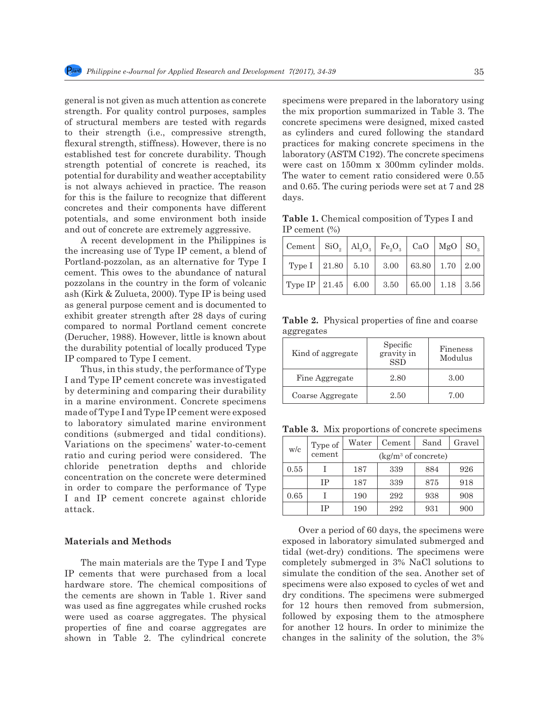general is not given as much attention as concrete strength. For quality control purposes, samples of structural members are tested with regards to their strength (i.e., compressive strength, flexural strength, stiffness). However, there is no established test for concrete durability. Though strength potential of concrete is reached, its potential for durability and weather acceptability is not always achieved in practice. The reason for this is the failure to recognize that different concretes and their components have different potentials, and some environment both inside and out of concrete are extremely aggressive.

A recent development in the Philippines is the increasing use of Type IP cement, a blend of Portland-pozzolan, as an alternative for Type I cement. This owes to the abundance of natural pozzolans in the country in the form of volcanic ash (Kirk & Zulueta, 2000). Type IP is being used as general purpose cement and is documented to exhibit greater strength after 28 days of curing compared to normal Portland cement concrete (Derucher, 1988). However, little is known about the durability potential of locally produced Type IP compared to Type I cement.

Thus, in this study, the performance of Type I and Type IP cement concrete was investigated by determining and comparing their durability in a marine environment. Concrete specimens made of Type I and Type IP cement were exposed to laboratory simulated marine environment conditions (submerged and tidal conditions). Variations on the specimens' water-to-cement ratio and curing period were considered. The chloride penetration depths and chloride concentration on the concrete were determined in order to compare the performance of Type I and IP cement concrete against chloride attack.

#### **Materials and Methods**

The main materials are the Type I and Type IP cements that were purchased from a local hardware store. The chemical compositions of the cements are shown in Table 1. River sand was used as fine aggregates while crushed rocks were used as coarse aggregates. The physical properties of fine and coarse aggregates are shown in Table 2. The cylindrical concrete specimens were prepared in the laboratory using the mix proportion summarized in Table 3. The concrete specimens were designed, mixed casted as cylinders and cured following the standard practices for making concrete specimens in the laboratory (ASTM C192). The concrete specimens were cast on 150mm x 300mm cylinder molds. The water to cement ratio considered were 0.55 and 0.65. The curing periods were set at 7 and 28 days.

**Table 1.** Chemical composition of Types I and IP cement (%)

| $\vert$ Cement $\vert$ SiO <sub>2</sub> $\vert$ Al <sub>2</sub> O <sub>3</sub> $\vert$ Fe <sub>2</sub> O <sub>3</sub> $\vert$ CaO $\vert$ MgO $\vert$ SO <sub>3</sub> |  |  |  |
|-----------------------------------------------------------------------------------------------------------------------------------------------------------------------|--|--|--|
| Type I   21.80   5.10   3.00   63.80   1.70   2.00                                                                                                                    |  |  |  |
| Type IP   21.45   6.00   3.50   65.00   1.18   3.56                                                                                                                   |  |  |  |

**Table 2.** Physical properties of fine and coarse aggregates

| Kind of aggregate | Specific<br>gravity in<br><b>SSD</b> | Fineness<br>Modulus |
|-------------------|--------------------------------------|---------------------|
| Fine Aggregate    | 2.80                                 | 3.00                |
| Coarse Aggregate  | 2.50                                 | 7.00                |

**Table 3.** Mix proportions of concrete specimens

| w/c  | Type of | Water                 | Cement | Sand | Gravel |  |
|------|---------|-----------------------|--------|------|--------|--|
|      | cement  | $(kg/m3$ of concrete) |        |      |        |  |
| 0.55 |         | 187                   | 339    | 884  | 926    |  |
|      | IΡ      | 187                   | 339    | 875  | 918    |  |
| 0.65 |         | 190                   | 292    | 938  | 908    |  |
|      | IΡ      | 190                   | 292    | 931  | 900    |  |

Over a period of 60 days, the specimens were exposed in laboratory simulated submerged and tidal (wet-dry) conditions. The specimens were completely submerged in 3% NaCl solutions to simulate the condition of the sea. Another set of specimens were also exposed to cycles of wet and dry conditions. The specimens were submerged for 12 hours then removed from submersion, followed by exposing them to the atmosphere for another 12 hours. In order to minimize the changes in the salinity of the solution, the 3%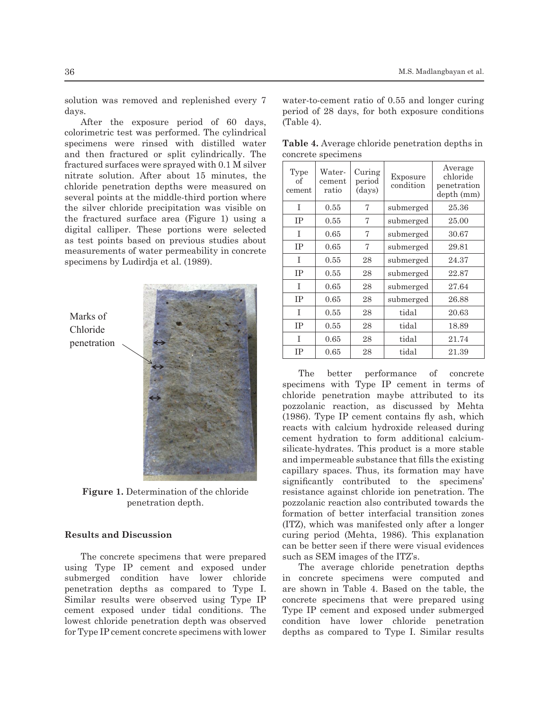solution was removed and replenished every 7 days.

After the exposure period of 60 days, colorimetric test was performed. The cylindrical specimens were rinsed with distilled water and then fractured or split cylindrically. The concrete specimens fractured surfaces were sprayed with 0.1 M silver  $\sqrt{\frac{\text{Type} \times \text{Type} \times \text{Type}}{\text{Type} \times \text{Type}}}$ nitrate solution. After about 15 minutes, the mirate solution. After about 15 minutes, the  $\left[\begin{array}{c} 0 \text{ if } \\ 0 \text{ if } \\ \text{ segment } \end{array}\right]$  remember  $\left[\begin{array}{c} \text{export} \\ \text{period } \\ \text{cond } \end{array}\right]$   $\left[\begin{array}{c} \text{Expc} \\ \text{cond } \\ \text{cond } \end{array}\right]$  $\frac{1}{\text{current}}$  central points at the middle-third portion where  $\frac{\text{center}}{\text{current}}$  ratio  $\frac{1}{\text{text}}$  (days) the silver chloride precipitation was visible on 81 specimens were rinsed with distilled water and then fractured or split cylindrically. The fractured the fractured surface area (Figure 1) using a  $\sqrt{IP}$  0.55  $\sqrt{7}$  subme digital calliper. These portions were selected  $\sqrt{1}$  0.65  $\sqrt{7}$  subme as test points based on previous studies about  $\frac{1}{\text{IP}}$  0.65  $\frac{7}{\text{subme}}$ measurements of water permeability in concrete  $\frac{11}{1} \begin{bmatrix} 0.65 \\ 0.55 \end{bmatrix}$  as test points by Ludindia at al. (1980) specimens by Ludirdja et al. (1989).

> Chloride Chloride penetration Marks of



**Figure 1.** Determination of the chloride penetration of the chloride penetration depth.

## 107 **IV.III. Results and Discussion Results and Discussion**

The concrete specimens that were prepared such as SEM images of the ITZ using Type IP cement and exposed under The average chloride pe submerged condition have lower chloride in concrete specimens were<br>submerged conditions. The lower change of the lower change in  $\mathbb{R}^{n+1}$  of  $\mathbb{R}^{n+1}$  of  $\mathbb{R}^{n+1}$ penetration depths as compared to Type I. are shown in Table 4. Based<br>Similar results were observed using Type IP concrete specimens that were cement exposed under tidal conditions. The Type IP cement and exposed for Type IP cement concrete specimens with lower penetration depths as compared to Type I. lowest chloride penetration depth was observed

water-to-cement ratio of 0.55 and longer curing period of 28 days, for both exposure conditions (Table 4).

| <b>Table 4.</b> Average chloride penetration depths in |  |
|--------------------------------------------------------|--|
| concrete specimens                                     |  |

| Type<br>of<br>cement | Water-<br>cement<br>ratio | Curing<br>period<br>(days) | Exposure<br>condition | Average<br>chloride<br>penetration<br>depth (mm) |
|----------------------|---------------------------|----------------------------|-----------------------|--------------------------------------------------|
| T                    | 0.55                      | 7                          | submerged             | 25.36                                            |
| <b>TP</b>            | 0.55                      | 7                          | submerged             | 25.00                                            |
| T                    | 0.65                      | 7                          | submerged             | 30.67                                            |
| IΡ                   | 0.65                      | 7                          | submerged             | 29.81                                            |
| T                    | 0.55                      | 28                         | submerged             | 24.37                                            |
| <b>TP</b>            | 0.55                      | 28                         | submerged             | 22.87                                            |
| T                    | 0.65                      | 28                         | submerged             | 27.64                                            |
| <b>TP</b>            | 0.65                      | 28                         | submerged             | 26.88                                            |
| T                    | 0.55                      | 28                         | tidal                 | 20.63                                            |
| <b>TP</b>            | 0.55                      | 28                         | tidal                 | 18.89                                            |
| T                    | 0.65                      | 28                         | tidal                 | 21.74                                            |
| IΡ                   | 0.65                      | 28                         | tidal                 | 21.39                                            |

The better performance of concrete specimens with Type IP cement in terms of chloride penetration maybe attributed to its pozzolanic reaction, as discussed by Mehta (1986). Type IP cement contains fly ash, which reacts with calcium hydroxide released during cement hydration to form additional calciumsilicate-hydrates. This product is a more stable and impermeable substance that fills the existing capillary spaces. Thus, its formation may have significantly contributed to the specimens' resistance against chloride ion penetration. The pozzolanic reaction also contributed towards the formation of better interfacial transition zones (ITZ), which was manifested only after a longer curing period (Mehta, 1986). This explanation can be better seen if there were visual evidences such as SEM images of the ITZ's.

The average chloride penetration depths in concrete specimens were computed and are shown in Table 4. Based on the table, the concrete specimens that were prepared using Type IP cement and exposed under submerged condition have lower chloride penetration depths as compared to Type I. Similar results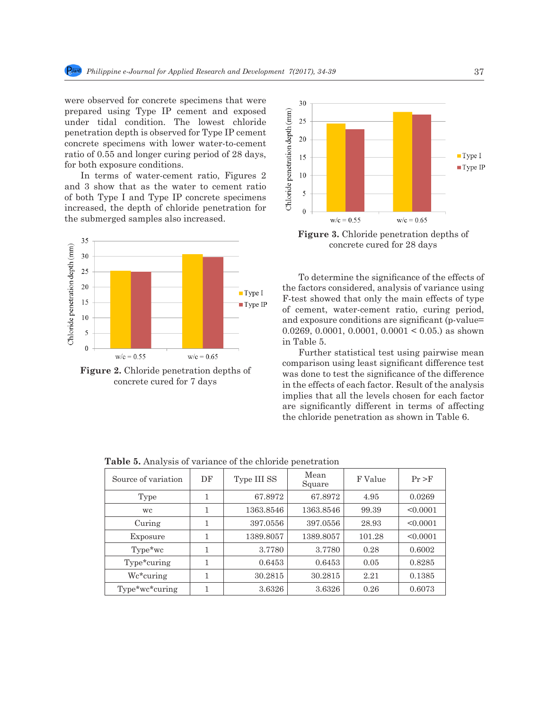were observed for concrete specimens that were prepared using Type IP cement and exposed under tidal condition. The lowest chloride penetration depth is observed for Type IP cement concrete specimens with lower water-to-cement ratio of 0.55 and longer curing period of 28 days, for both exposure conditions.

In terms of water-cement ratio, Figures 2 and 3 show that as the water to cement ratio of both Type I and Type IP concrete specimens increased, the depth of chloride penetration for the submerged samples also increased.



**Figure 2.** Chloride penetration depths of concrete cured for 7 days



**Figure 3.** Chloride penetration depths of concrete cured for 28 days

To determine the significance of the effects of the factors considered, analysis of variance using F-test showed that only the main effects of type of cement, water-cement ratio, curing period, and exposure conditions are significant (p-value= 0.0269, 0.0001, 0.0001, 0.0001 < 0.05.) as shown in Table 5.

Further statistical test using pairwise mean comparison using least significant difference test was done to test the significance of the difference in the effects of each factor. Result of the analysis implies that all the levels chosen for each factor are significantly different in terms of affecting the chloride penetration as shown in Table 6.

**Table 5.** Analysis of variance of the chloride penetration

| Source of variation | DF | Type III SS | Mean<br>Square | F Value | Pr > F   |
|---------------------|----|-------------|----------------|---------|----------|
| Type                | 1  | 67.8972     | 67.8972        | 4.95    | 0.0269   |
| wc.                 | 1  | 1363.8546   | 1363.8546      | 99.39   | < 0.0001 |
| Curing              | 1  | 397.0556    | 397.0556       | 28.93   | < 0.0001 |
| Exposure            | 1  | 1389.8057   | 1389.8057      | 101.28  | < 0.0001 |
| Type*wc             | 1  | 3.7780      | 3.7780         | 0.28    | 0.6002   |
| Type*curing         | 1  | 0.6453      | 0.6453         | 0.05    | 0.8285   |
| Wc*curing           |    | 30.2815     | 30.2815        | 2.21    | 0.1385   |
| Type*wc*curing      |    | 3.6326      | 3.6326         | 0.26    | 0.6073   |

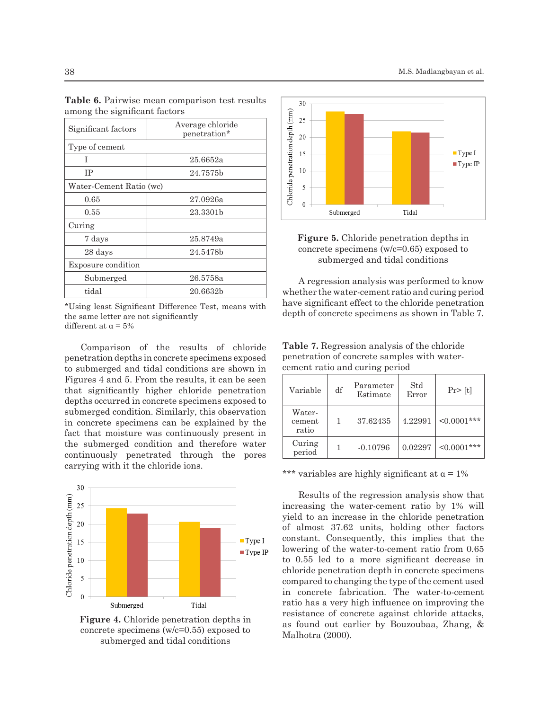| Significant factors     | Average chloride<br>penetration* |  |  |
|-------------------------|----------------------------------|--|--|
| Type of cement          |                                  |  |  |
| Τ                       | 25.6652a                         |  |  |
| IΡ                      | 24.7575b                         |  |  |
| Water-Cement Ratio (wc) |                                  |  |  |
| 0.65                    | 27.0926a                         |  |  |
| 0.55                    | 23.3301b                         |  |  |
| Curing                  |                                  |  |  |
| 7 days                  | 25.8749a                         |  |  |
| 28 days                 | 24.5478b                         |  |  |
| Exposure condition      |                                  |  |  |
| Submerged               | 26.5758a                         |  |  |
| tidal                   | $20.6632\mathrm{b}$              |  |  |

**Table 6.** Pairwise mean comparison test results among the significant factors

\*Using least Significant Difference Test, means with the same letter are not significantly different at  $\alpha = 5\%$ 

Comparison of the results of chloride penetration depths in concrete specimens exposed to submerged and tidal conditions are shown in Figures 4 and 5. From the results, it can be seen that significantly higher chloride penetration depths occurred in concrete specimens exposed to submerged condition. Similarly, this observation in concrete specimens can be explained by the fact that moisture was continuously present in the submerged condition and therefore water continuously penetrated through the pores carrying with it the chloride ions.



**Figure 4.** Chloride penetration depths in concrete specimens (w/c=0.55) exposed to submerged and tidal conditions





A regression analysis was performed to know whether the water-cement ratio and curing period have significant effect to the chloride penetration depth of concrete specimens as shown in Table 7.

| <b>Table 7.</b> Regression analysis of the chloride |
|-----------------------------------------------------|
| penetration of concrete samples with water-         |
| cement ratio and curing period                      |

| Variable                  | df | Parameter<br>Estimate | Std<br>Error | $Pr$ [t]          |
|---------------------------|----|-----------------------|--------------|-------------------|
| Water-<br>cement<br>ratio |    | 37.62435              | 4.22991      | $\leq 0.0001$ *** |
| Curing<br>period          |    | $-0.10796$            | 0.02297      | $\leq 0.0001$ *** |

\*\*\* variables are highly significant at  $\alpha = 1\%$ 

Results of the regression analysis show that increasing the water-cement ratio by 1% will yield to an increase in the chloride penetration of almost 37.62 units, holding other factors constant. Consequently, this implies that the lowering of the water-to-cement ratio from 0.65 to 0.55 led to a more significant decrease in chloride penetration depth in concrete specimens compared to changing the type of the cement used in concrete fabrication. The water-to-cement ratio has a very high influence on improving the resistance of concrete against chloride attacks, as found out earlier by Bouzoubaa, Zhang, & Malhotra (2000).